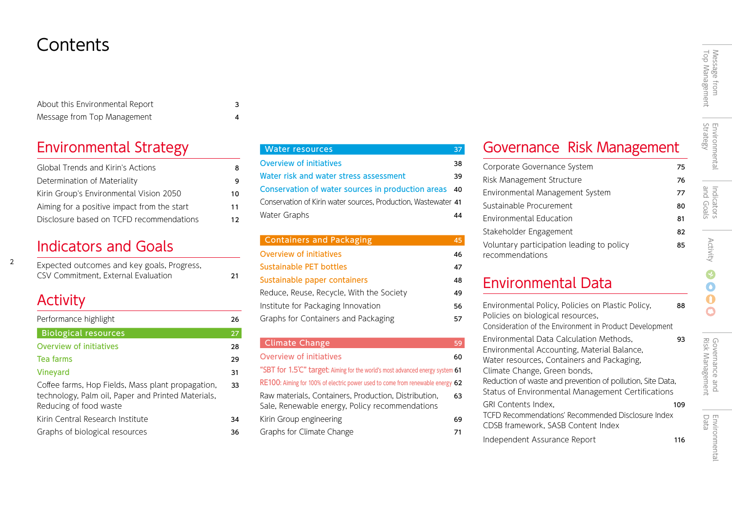# **Contents**

| About this Environmental Report |  |
|---------------------------------|--|
| Message from Top Management     |  |

### Environmental Strategy

| Global Trends and Kirin's Actions           | 8  |
|---------------------------------------------|----|
| Determination of Materiality                | 9  |
| Kirin Group's Environmental Vision 2050     | 10 |
| Aiming for a positive impact from the start | 11 |
| Disclosure based on TCFD recommendations    | 12 |

### Indicators and Goals

| Expected outcomes and key goals, Progress, |    |
|--------------------------------------------|----|
| CSV Commitment, External Evaluation        | 21 |

### **Activity**

2

| Performance highlight                                                                                                             | 26 |
|-----------------------------------------------------------------------------------------------------------------------------------|----|
| <b>Biological resources</b>                                                                                                       | 27 |
| Overview of initiatives                                                                                                           | 28 |
| Tea farms                                                                                                                         | 29 |
| Vineyard                                                                                                                          | 31 |
| Coffee farms, Hop Fields, Mass plant propagation,<br>technology, Palm oil, Paper and Printed Materials,<br>Reducing of food waste | 33 |
| Kirin Central Research Institute                                                                                                  | 34 |
| Graphs of biological resources                                                                                                    | 36 |

| <b>Water resources</b>                                         | 37 |
|----------------------------------------------------------------|----|
| <b>Overview of initiatives</b>                                 | 38 |
| Water risk and water stress assessment                         | 39 |
| Conservation of water sources in production areas 40           |    |
| Conservation of Kirin water sources, Production, Wastewater 41 |    |
| Water Graphs                                                   | 44 |
|                                                                |    |

| <b>Containers and Packaging</b>          | 45 |
|------------------------------------------|----|
| Overview of initiatives                  | 46 |
| Sustainable PET bottles                  | 47 |
| Sustainable paper containers             | 48 |
| Reduce, Reuse, Recycle, With the Society | 49 |
| Institute for Packaging Innovation       | 56 |
| Graphs for Containers and Packaging      | 57 |
|                                          |    |

### Climate Change 59 Overview of initiatives 60 "SBT for 1.5℃" target: Aiming for the world's most advanced energy system 61 RE100: Aiming for 100% of electric power used to come from renewable energy 62 Raw materials, Containers, Production, Distribution, 63 Sale, Renewable energy, Policy recommendations Kirin Group engineering 69 Graphs for Climate Change 71

# Message from<br>Top Management Top Management Message from

 $\bullet$ 

## Environmental Data

recommendations

| Environmental Policy, Policies on Plastic Policy,<br>Policies on biological resources,<br>Consideration of the Environment in Product Development                    | 88  |
|----------------------------------------------------------------------------------------------------------------------------------------------------------------------|-----|
| Environmental Data Calculation Methods.<br>Environmental Accounting, Material Balance,<br>Water resources, Containers and Packaging,<br>Climate Change, Green bonds, | 93  |
| Reduction of waste and prevention of pollution, Site Data,<br>Status of Environmental Management Certifications                                                      |     |
| GRI Contents Index.<br>TCFD Recommendations' Recommended Disclosure Index<br>CDSB framework. SASB Content Index                                                      | 109 |
| Independent Assurance Report                                                                                                                                         | 116 |

Governance Risk Management

Corporate Governance System 75 Risk Management Structure 76 Environmental Management System 77 Sustainable Procurement 80 Environmental Education 81 Stakeholder Engagement 82 Voluntary participation leading to policy 85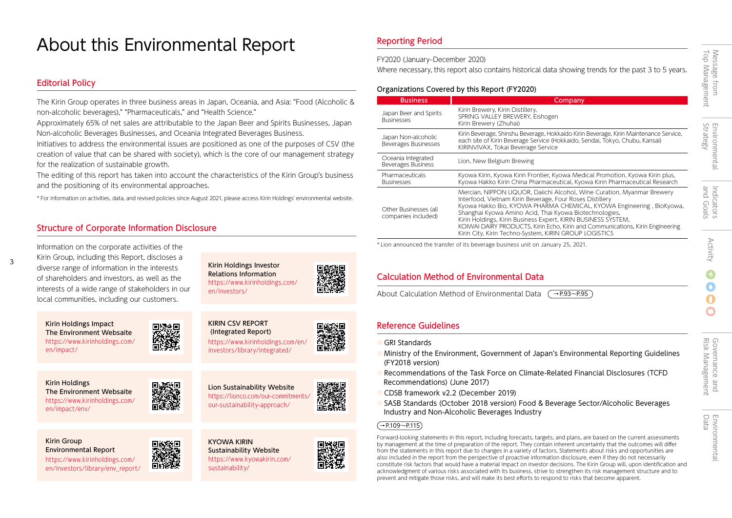# About this Environmental Report

#### Editorial Policy

3

The Kirin Group operates in three business areas in Japan, Oceania, and Asia: "Food (Alcoholic & non-alcoholic beverages)," "Pharmaceuticals," and "Health Science."

Approximately 65% of net sales are attributable to the Japan Beer and Spirits Businesses, Japan Non-alcoholic Beverages Businesses, and Oceania Integrated Beverages Business.

Initiatives to address the environmental issues are positioned as one of the purposes of CSV (the creation of value that can be shared with society), which is the core of our management strategy for the realization of sustainable growth.

The editing of this report has taken into account the characteristics of the Kirin Group's business and the positioning of its environmental approaches.

\* For information on activities, data, and revised policies since August 2021, please access Kirin Holdings' environmental website.

#### Structure of Corporate Information Disclosure

Information on the corporate activities of the Kirin Group, including this Report, discloses a diverse range of information in the interests of shareholders and investors, as well as the interests of a wide range of stakeholders in our local communities, including our customers.

Kirin Holdings Impact The Environment Websaite [https://www.kirinholdings.com/](https://www.kirinholdings.com/en/impact/) en/impact/

Kirin Holdings The Environment Websaite [https://www.kirinholdings.com/](https://www.kirinholdings.com/en/impact/env/) en/impact/env/

Kirin Group Environmental Report https://www.kirinholdings.com/ [en/investors/library/env\\_report/](https://www.kirinholdings.com/en/investors/library/env_report/)



en/investors/

Kirin Holdings Investor Relations Information [https://www.kirinholdings.com/](https://www.kirinholdings.com/en/investors/)

回版教回

Lion Sustainability Website https://lionco.com/our-commitments our-sustainability-approach/



Reporting Period

FY2020 (January–December 2020)

Where necessary, this report also contains historical data showing trends for the past 3 to 5 years.

#### Organizations Covered by this Report (FY2020)

| <b>Business</b>                                    | Company                                                                                                                                                                                                                                                                                                                                                                                                                                                                            |
|----------------------------------------------------|------------------------------------------------------------------------------------------------------------------------------------------------------------------------------------------------------------------------------------------------------------------------------------------------------------------------------------------------------------------------------------------------------------------------------------------------------------------------------------|
| Japan Beer and Spirits<br><b>Businesses</b>        | Kirin Brewery, Kirin Distillery,<br>SPRING VALLEY BREWERY, Eishogen<br>Kirin Brewery (Zhuhai)                                                                                                                                                                                                                                                                                                                                                                                      |
| Japan Non-alcoholic<br><b>Beverages Businesses</b> | Kirin Beverage, Shinshu Beverage, Hokkaido Kirin Beverage, Kirin Maintenance Service,<br>each site of Kirin Beverage Service (Hokkaido, Sendai, Tokyo, Chubu, Kansai)<br>KIRINVIVAX, Tokai Beverage Service                                                                                                                                                                                                                                                                        |
| Oceania Integrated<br>Beverages Business           | Lion, New Belgium Brewing                                                                                                                                                                                                                                                                                                                                                                                                                                                          |
| Pharmaceuticals<br><b>Businesses</b>               | Kyowa Kirin, Kyowa Kirin Frontier, Kyowa Medical Promotion, Kyowa Kirin plus,<br>Kyowa Hakko Kirin China Pharmaceutical, Kyowa Kirin Pharmaceutical Research                                                                                                                                                                                                                                                                                                                       |
| Other Businesses (all<br>companies included)       | Mercian, NIPPON LIQUOR, Daiichi Alcohol, Wine Curation, Myanmar Brewery<br>Interfood, Vietnam Kirin Beverage, Four Roses Distillery<br>Kyowa Hakko Bio, KYOWA PHARMA CHEMICAL, KYOWA Engineering, BioKyowa,<br>Shanghai Kyowa Amino Acid, Thai Kyowa Biotechnologies,<br>Kirin Holdings, Kirin Business Expert, KIRIN BUSINESS SYSTEM,<br>KOIWAI DAIRY PRODUCTS, Kirin Echo, Kirin and Communications, Kirin Engineering<br>Kirin City, Kirin Techno-System, KIRIN GROUP LOGISTICS |

\* Lion announced the transfer of its beverage business unit on January 25, 2021.

#### Calculation Method of Environmental Data

About Calculation Method of Environmental Data  $\rightarrow$ P.93~P.95

#### Reference Guidelines

- **GRI Standards**
- Ministry of the Environment, Government of Japan's Environmental Reporting Guidelines (FY2018 version)
- Recommendations of the Task Force on Climate-Related Financial Disclosures (TCFD Recommendations) (June 2017)
- CDSB framework v2.2 (December 2019)
- SASB Standards (October 2018 version) Food & Beverage Sector/Alcoholic Beverages Industry and Non-Alcoholic Beverages Industry

#### $(\rightarrow P.109 \sim P.115)$

Forward-looking statements in this report, including forecasts, targets, and plans, are based on the current assessments by management at the time of preparation of the report. They contain inherent uncertainty that the outcomes will differ from the statements in this report due to changes in a variety of factors. Statements about risks and opportunities are also included in the report from the perspective of proactive information disclosure, even if they do not necessarily constitute risk factors that would have a material impact on investor decisions. The Kirin Group will, upon identification and acknowledgment of various risks associated with its business, strive to strengthen its risk management structure and to prevent and mitigate those risks, and will make its best efforts to respond to risks that become apparent.

 $\bigcap$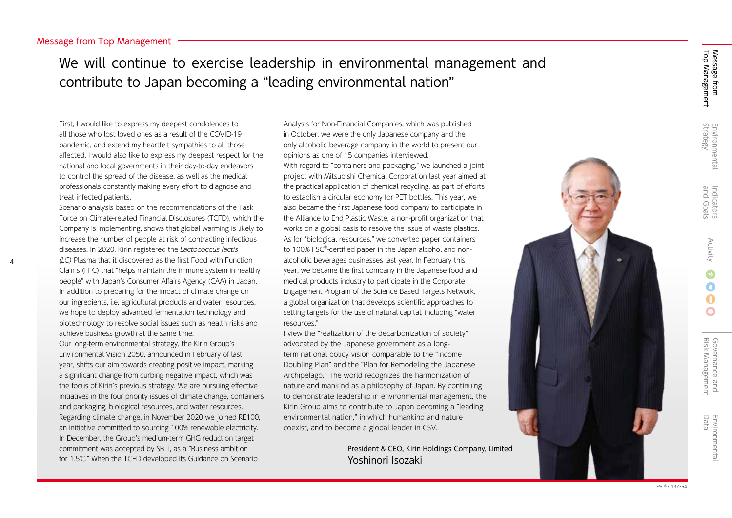4

We will continue to exercise leadership in environmental management and contribute to Japan becoming a "leading environmental nation"

First, I would like to express my deepest condolences to all those who lost loved ones as a result of the COVID-19 pandemic, and extend my heartfelt sympathies to all those affected. I would also like to express my deepest respect for the national and local governments in their day-to-day endeavors to control the spread of the disease, as well as the medical professionals constantly making every effort to diagnose and treat infected patients.

Scenario analysis based on the recommendations of the Task Force on Climate-related Financial Disclosures (TCFD), which the Company is implementing, shows that global warming is likely to increase the number of people at risk of contracting infectious diseases. In 2020, Kirin registered the Lactococcus lactis (LC) Plasma that it discovered as the first Food with Function Claims (FFC) that "helps maintain the immune system in healthy people" with Japan's Consumer Affairs Agency (CAA) in Japan. In addition to preparing for the impact of climate change on our ingredients, i.e. agricultural products and water resources, we hope to deploy advanced fermentation technology and biotechnology to resolve social issues such as health risks and achieve business growth at the same time.

Our long-term environmental strategy, the Kirin Group's Environmental Vision 2050, announced in February of last year, shifts our aim towards creating positive impact, marking a significant change from curbing negative impact, which was the focus of Kirin's previous strategy. We are pursuing effective initiatives in the four priority issues of climate change, containers and packaging, biological resources, and water resources. Regarding climate change, in November 2020 we joined RE100, an initiative committed to sourcing 100% renewable electricity. In December, the Group's medium-term GHG reduction target commitment was accepted by SBTi, as a "Business ambition for 1.5℃." When the TCFD developed its Guidance on Scenario

Analysis for Non-Financial Companies, which was published in October, we were the only Japanese company and the only alcoholic beverage company in the world to present our opinions as one of 15 companies interviewed. With regard to "containers and packaging," we launched a joint project with Mitsubishi Chemical Corporation last year aimed at the practical application of chemical recycling, as part of efforts to establish a circular economy for PET bottles. This year, we also became the first Japanese food company to participate in the Alliance to End Plastic Waste, a non-profit organization that works on a global basis to resolve the issue of waste plastics. As for "biological resources," we converted paper containers to 100% FSC® -certified paper in the Japan alcohol and nonalcoholic beverages businesses last year. In February this year, we became the first company in the Japanese food and medical products industry to participate in the Corporate Engagement Program of the Science Based Targets Network, a global organization that develops scientific approaches to setting targets for the use of natural capital, including "water resources."

I view the "realization of the decarbonization of society" advocated by the Japanese government as a longterm national policy vision comparable to the "Income Doubling Plan" and the "Plan for Remodeling the Japanese Archipelago." The world recognizes the harmonization of nature and mankind as a philosophy of Japan. By continuing to demonstrate leadership in environmental management, the Kirin Group aims to contribute to Japan becoming a "leading environmental nation," in which humankind and nature coexist, and to become a global leader in CSV.

> President & CEO, Kirin Holdings Company, Limited Yoshinori Isozaki

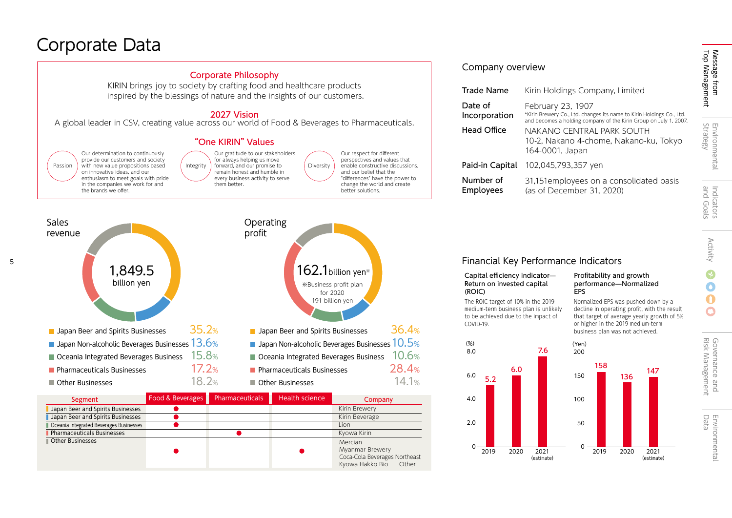# Corporate Data



5





| Segment                                 | Food & Beverages | Pharmaceuticals | Health science | Company                                                                                        |
|-----------------------------------------|------------------|-----------------|----------------|------------------------------------------------------------------------------------------------|
| Japan Beer and Spirits Businesses       |                  |                 |                | Kirin Brewery                                                                                  |
| Japan Beer and Spirits Businesses       |                  |                 |                | Kirin Beverage                                                                                 |
| Oceania Integrated Beverages Businesses |                  |                 |                | Lion                                                                                           |
| Pharmaceuticals Businesses              |                  |                 |                | Kyowa Kirin                                                                                    |
| Other Businesses                        |                  |                 |                | Mercian<br><b>Myanmar Brewery</b><br>Coca-Cola Beverages Northeast<br>Kyowa Hakko Bio<br>Other |

#### Financial Key Performance Indicators

#### Capital efficiency indicator-Return on invested capital (ROIC)

The ROIC target of 10% in the 2019 medium-term business plan is unlikely to be achieved due to the impact of COVID-19.

8.0

(%)

6.0

4.0

2.0

 $\Omega$ 

#### Profitability and growth performance̶Normalized EPS

Normalized EPS was pushed down by a decline in operating profit, with the result that target of average yearly growth of 5% or higher in the 2019 medium-term business plan was not achieved.



 $\mathbf \Omega$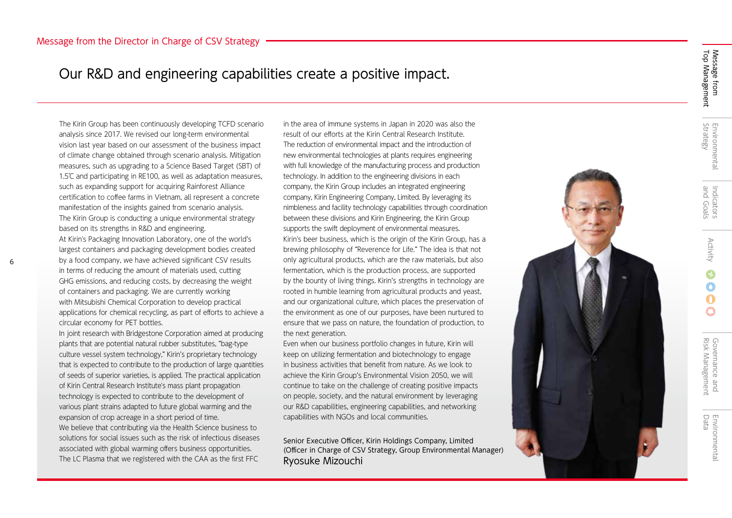### Our R&D and engineering capabilities create a positive impact.

The Kirin Group has been continuously developing TCFD scenario analysis since 2017. We revised our long-term environmental vision last year based on our assessment of the business impact of climate change obtained through scenario analysis. Mitigation measures, such as upgrading to a Science Based Target (SBT) of 1.5℃ and participating in RE100, as well as adaptation measures, such as expanding support for acquiring Rainforest Alliance certification to coffee farms in Vietnam, all represent a concrete manifestation of the insights gained from scenario analysis. The Kirin Group is conducting a unique environmental strategy based on its strengths in R&D and engineering. At Kirin's Packaging Innovation Laboratory, one of the world's largest containers and packaging development bodies created by a food company, we have achieved significant CSV results in terms of reducing the amount of materials used, cutting GHG emissions, and reducing costs, by decreasing the weight of containers and packaging. We are currently working with Mitsubishi Chemical Corporation to develop practical applications for chemical recycling, as part of efforts to achieve a circular economy for PET bottles.

6

In joint research with Bridgestone Corporation aimed at producing plants that are potential natural rubber substitutes, "bag-type culture vessel system technology," Kirin's proprietary technology that is expected to contribute to the production of large quantities of seeds of superior varieties, is applied. The practical application of Kirin Central Research Institute's mass plant propagation technology is expected to contribute to the development of various plant strains adapted to future global warming and the expansion of crop acreage in a short period of time. We believe that contributing via the Health Science business to solutions for social issues such as the risk of infectious diseases associated with global warming offers business opportunities. The LC Plasma that we registered with the CAA as the first FFC

in the area of immune systems in Japan in 2020 was also the result of our efforts at the Kirin Central Research Institute. The reduction of environmental impact and the introduction of new environmental technologies at plants requires engineering with full knowledge of the manufacturing process and production technology. In addition to the engineering divisions in each company, the Kirin Group includes an integrated engineering company, Kirin Engineering Company, Limited. By leveraging its nimbleness and facility technology capabilities through coordination between these divisions and Kirin Engineering, the Kirin Group supports the swift deployment of environmental measures. Kirin's beer business, which is the origin of the Kirin Group, has a brewing philosophy of "Reverence for Life." The idea is that not only agricultural products, which are the raw materials, but also fermentation, which is the production process, are supported by the bounty of living things. Kirin's strengths in technology are rooted in humble learning from agricultural products and yeast, and our organizational culture, which places the preservation of the environment as one of our purposes, have been nurtured to ensure that we pass on nature, the foundation of production, to the next generation.

Even when our business portfolio changes in future, Kirin will keep on utilizing fermentation and biotechnology to engage in business activities that benefit from nature. As we look to achieve the Kirin Group's Environmental Vision 2050, we will continue to take on the challenge of creating positive impacts on people, society, and the natural environment by leveraging our R&D capabilities, engineering capabilities, and networking capabilities with NGOs and local communities.

Senior Executive Officer, Kirin Holdings Company, Limited (Officer in Charge of CSV Strategy, Group Environmental Manager) Ryosuke Mizouchi



 $\bigcap$